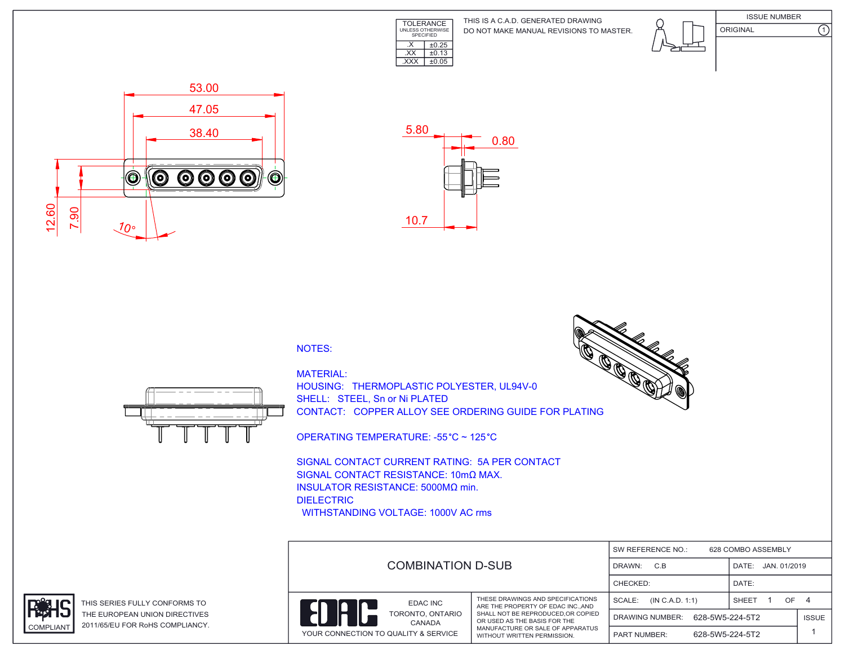

DO NOT MAKE MANUAL REVISIONS TO MASTER. THIS IS A C.A.D. GENERATED DRAWING





 53.00 47.05 38.40  $\circledcirc$  $\bm{\circledcirc}$ **000**  $\odot$  $\circledcirc$  12.60 7.90 10°



## NOTES:



MATERIAL: HOUSING: THERMOPLASTIC POLYESTER, UL94V-0 SHELL: STEEL, Sn or Ni PLATED CONTACT: COPPER ALLOY SEE ORDERING GUIDE FOR PLATING

OPERATING TEMPERATURE: -55 °C ~ 125 °C

SIGNAL CONTACT CURRENT RATING: 5A PER CONTACT SIGNAL CONTACT RESISTANCE: 10mΩ MAX. INSULATOR RESISTANCE: 5000MΩ min. DIELECTRIC WITHSTANDING VOLTAGE: 1000V AC rms





THIS SERIES FULLY CONFORMS TO THE EUROPEAN UNION DIRECTIVES COMPLIANT 2011/65/EU FOR RoHS COMPLIANCY.



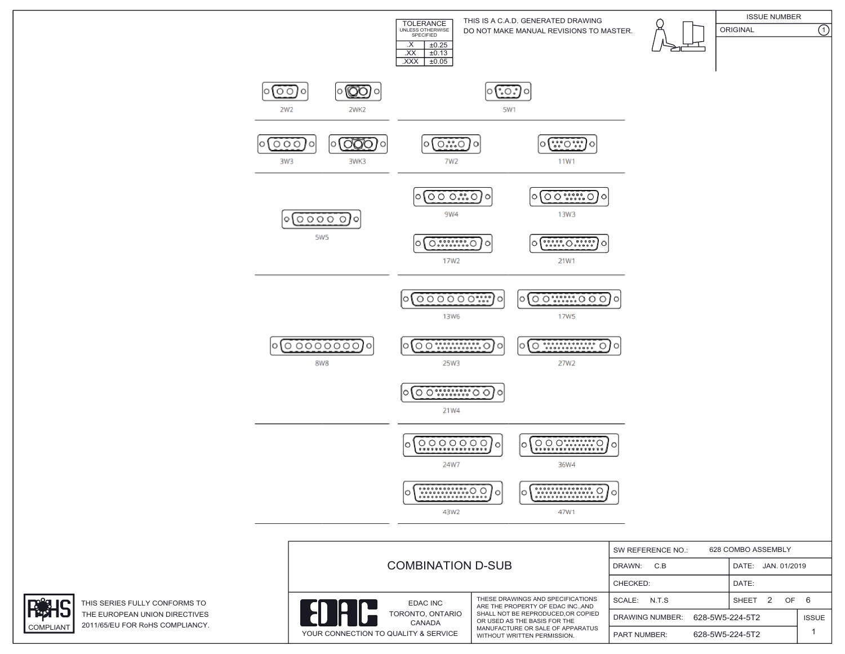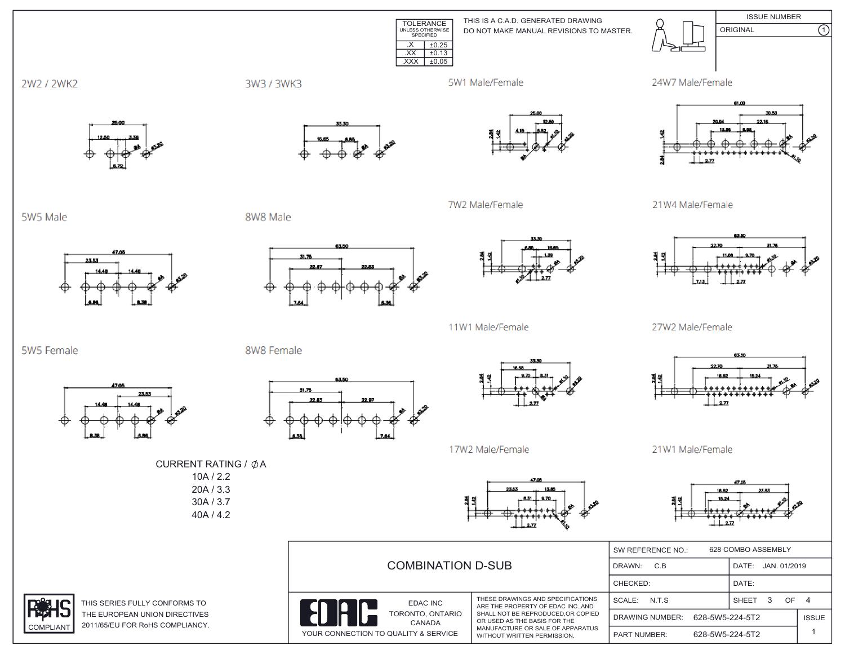**ISSUE NUMBER** TOLERANCE<br>
UNLESS OTHERWISE<br>
SPECIFIED THIS IS A C.A.D. GENERATED DRAWING ORIGINAL DO NOT MAKE MANUAL REVISIONS TO MASTER.  $X \mid \pm 0.25$  $\overline{XX}$   $\pm 0.13$  $\overline{XXX}$   $\pm 0.05$ 



3W3 / 3WK3

5W1 Male/Female

7W2 Male/Female





 $\overline{\Omega}$ 

21W4 Male/Female



27W2 Male/Female



21W1 Male/Female



|  |                                                                                |                                                                                                                                                                                                                 | 628 COMBO ASSEMBLY<br>SW REFERENCE NO.:   |                       |                    |  |  |
|--|--------------------------------------------------------------------------------|-----------------------------------------------------------------------------------------------------------------------------------------------------------------------------------------------------------------|-------------------------------------------|-----------------------|--------------------|--|--|
|  | <b>COMBINATION D-SUB</b>                                                       | DRAWN:<br>C.B                                                                                                                                                                                                   |                                           | JAN. 01/2019<br>DATE: |                    |  |  |
|  |                                                                                | CHECKED:                                                                                                                                                                                                        |                                           | DATE:                 |                    |  |  |
|  | EDAC INC<br>TORONTO, ONTARIO<br>CANADA<br>YOUR CONNECTION TO QUALITY & SERVICE | THESE DRAWINGS AND SPECIFICATIONS<br>ARE THE PROPERTY OF EDAC INC. AND<br>SHALL NOT BE REPRODUCED, OR COPIED<br>OR USED AS THE BASIS FOR THE<br>MANUFACTURE OR SALE OF APPARATUS<br>WITHOUT WRITTEN PERMISSION. | SCALE: N.T.S.                             |                       | OF<br><b>SHEET</b> |  |  |
|  |                                                                                |                                                                                                                                                                                                                 | 628-5W5-224-5T2<br><b>DRAWING NUMBER:</b> |                       | <b>ISSUE</b>       |  |  |
|  |                                                                                |                                                                                                                                                                                                                 | <b>PART NUMBER:</b>                       | 628-5W5-224-5T2       |                    |  |  |

5W5 Male

5W5 Female

2W2 / 2WK2



23.53

8W8 Male

8W8 Female



63.50

31.76



11W1 Male/Female



17W2 Male/Female

CURRENT RATING / ØA  $10A / 2.2$  $20A / 3.3$ 30A / 3.7 40A / 4.2



THIS SERIES FULLY CONFORMS TO THE EUROPEAN UNION DIRECTIVES 2011/65/EU FOR RoHS COMPLIANCY.